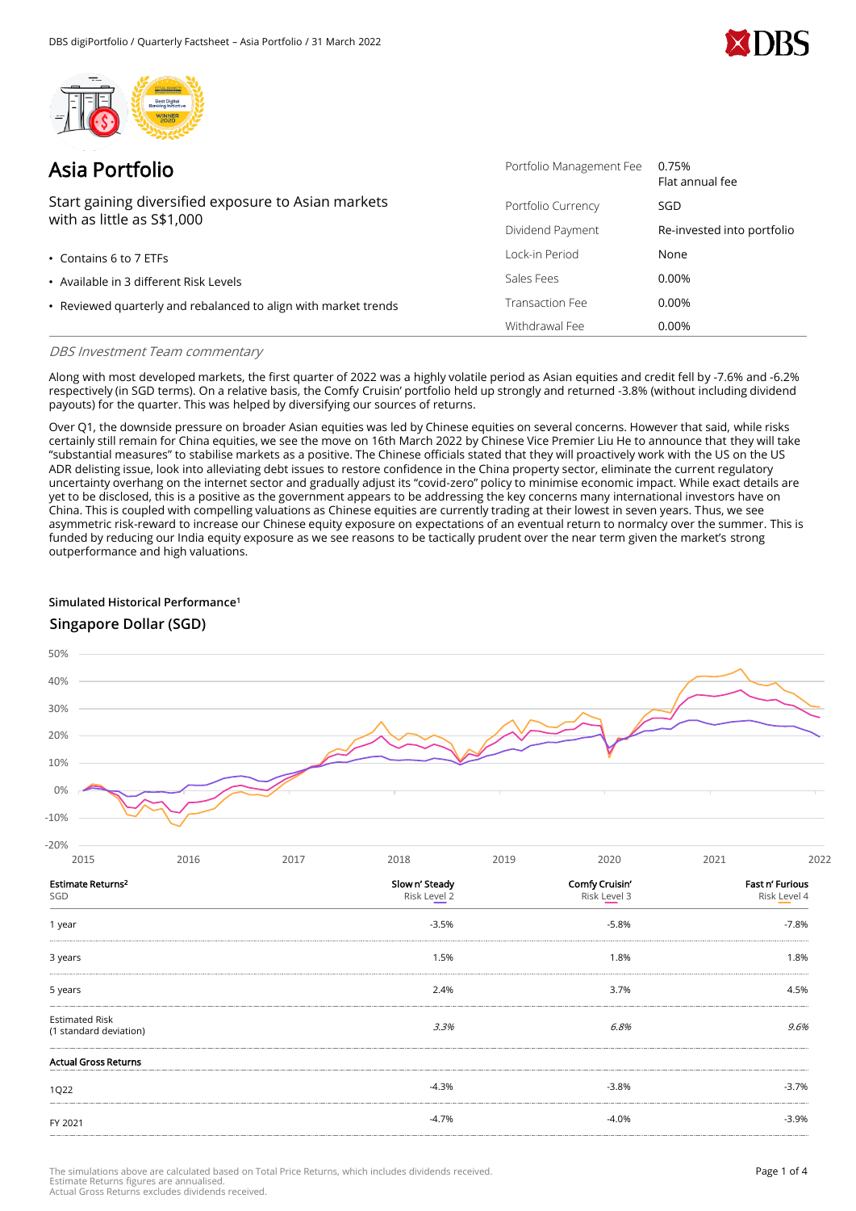



| Asia Portfolio                                                                    | Portfolio Management Fee | 0.75%<br>Flat annual fee   |
|-----------------------------------------------------------------------------------|--------------------------|----------------------------|
| Start gaining diversified exposure to Asian markets<br>with as little as S\$1,000 | Portfolio Currency       | SGD                        |
|                                                                                   | Dividend Payment         | Re-invested into portfolio |
| $\cdot$ Contains 6 to 7 ETFs                                                      | Lock-in Period           | None                       |
| • Available in 3 different Risk Levels                                            | Sales Fees               | 0.00%                      |
| • Reviewed quarterly and rebalanced to align with market trends                   | Transaction Fee          | 0.00%                      |
|                                                                                   | Withdrawal Fee           | 0.00%                      |

## DBS Investment Team commentary

Along with most developed markets, the first quarter of 2022 was a highly volatile period as Asian equities and credit fell by -7.6% and -6.2% respectively (in SGD terms). On a relative basis, the Comfy Cruisin' portfolio held up strongly and returned -3.8% (without including dividend payouts) for the quarter. This was helped by diversifying our sources of returns.

Over Q1, the downside pressure on broader Asian equities was led by Chinese equities on several concerns. However that said, while risks certainly still remain for China equities, we see the move on 16th March 2022 by Chinese Vice Premier Liu He to announce that they will take "substantial measures" to stabilise markets as a positive. The Chinese officials stated that they will proactively work with the US on the US ADR delisting issue, look into alleviating debt issues to restore confidence in the China property sector, eliminate the current regulatory uncertainty overhang on the internet sector and gradually adjust its "covid-zero" policy to minimise economic impact. While exact details are yet to be disclosed, this is a positive as the government appears to be addressing the key concerns many international investors have on China. This is coupled with compelling valuations as Chinese equities are currently trading at their lowest in seven years. Thus, we see asymmetric risk-reward to increase our Chinese equity exposure on expectations of an eventual return to normalcy over the summer. This is funded by reducing our India equity exposure as we see reasons to be tactically prudent over the near term given the market's strong outperformance and high valuations.

## **Simulated Historical Performance<sup>1</sup>**

# **Singapore Dollar (SGD)**



| 2015                                            | 2016 | 2017 | 2018                                      | 2019 | 2020                           | 2021                   | 2022         |
|-------------------------------------------------|------|------|-------------------------------------------|------|--------------------------------|------------------------|--------------|
| Estimate Returns <sup>2</sup><br>SGD            |      |      | Slow n' Steady<br>Risk Level <sub>2</sub> |      | Comfy Cruisin'<br>Risk Level 3 | <b>Fast n' Furious</b> | Risk Level 4 |
| 1 year                                          |      |      | $-3.5%$                                   |      | $-5.8%$                        |                        | $-7.8%$      |
| 3 years                                         |      |      | 1.5%                                      |      | 1.8%                           |                        | 1.8%         |
| 5 years                                         |      |      | 2.4%                                      |      | 3.7%                           |                        | 4.5%         |
| <b>Estimated Risk</b><br>(1 standard deviation) |      |      | 3.3%                                      |      | 6.8%                           |                        | 9.6%         |
| <b>Actual Gross Returns</b>                     |      |      |                                           |      |                                |                        |              |
| 1Q22                                            |      |      | $-4.3%$                                   |      | $-3.8%$                        |                        | $-3.7%$      |
| FY 2021                                         |      |      | $-4.7%$                                   |      | $-4.0%$                        |                        | $-3.9%$      |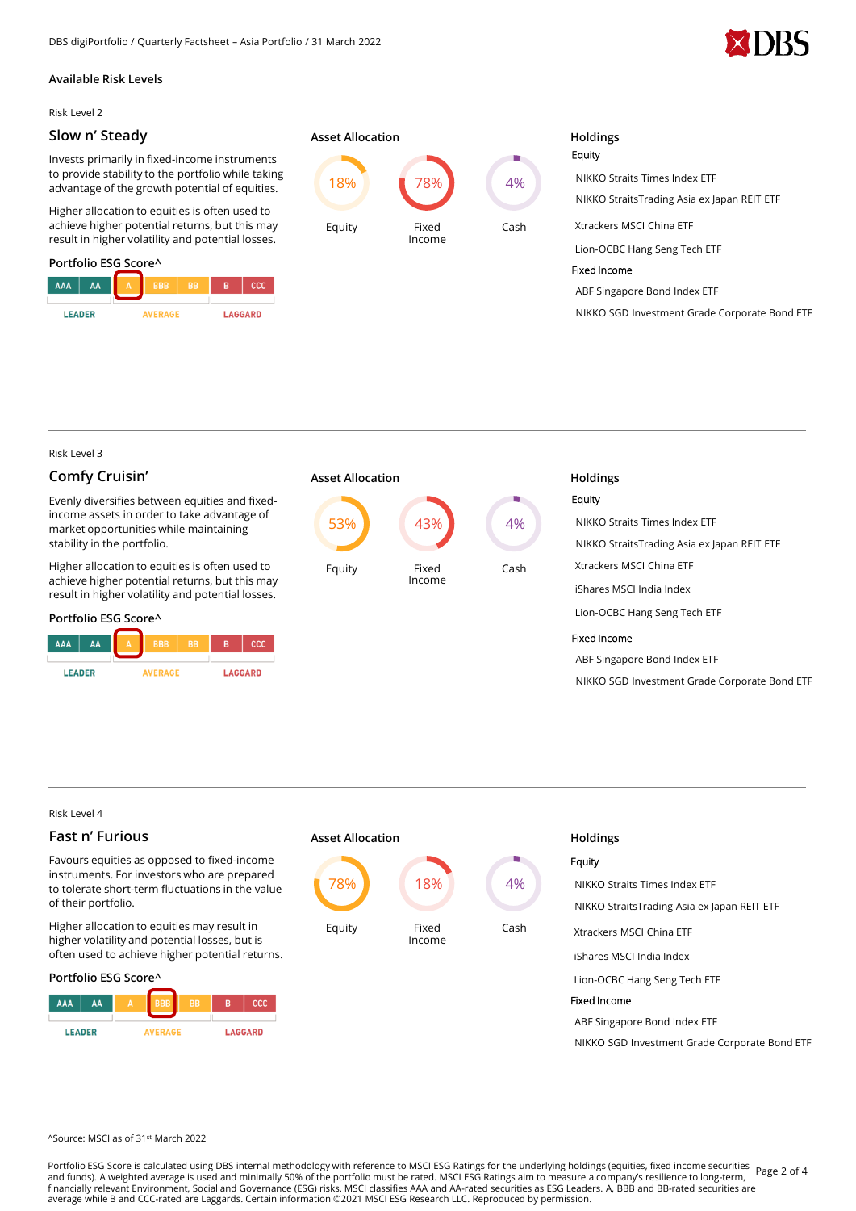

## **Available Risk Levels**

Risk Level 2

## **Slow n' Steady**

Invests primarily in fixed-income instruments to provide stability to the portfolio while taking advantage of the growth potential of equities.

Higher allocation to equities is often used to achieve higher potential returns, but this may result in higher volatility and potential losses.

## **Portfolio ESG Score^**

| AAA           | AΑ | A     | <b>BBB</b> | <b>BB</b> | в | ccc            |
|---------------|----|-------|------------|-----------|---|----------------|
| <b>LEADER</b> |    | FRAGE |            |           |   | <b>LAGGARD</b> |



# Equity NIKKO Straits Times Index ETF NIKKO StraitsTrading Asia ex Japan REIT ETF Xtrackers MSCI China ETF Lion-OCBC Hang Seng Tech ETF Fixed Income ABF Singapore Bond Index ETF NIKKO SGD Investment Grade Corporate Bond ETF

Risk Level 3

## **Comfy Cruisin'**

Evenly diversifies between equities and fixedincome assets in order to take advantage of market opportunities while maintaining stability in the portfolio.

Higher allocation to equities is often used to achieve higher potential returns, but this may result in higher volatility and potential losses.

## **Portfolio ESG Score^**

| <b>AAA</b>                      | AΑ | Α | <b>BBB</b> | <b>BB</b>      | R | ccc |
|---------------------------------|----|---|------------|----------------|---|-----|
|                                 |    |   |            |                |   |     |
| <b>IFADER</b><br><b>AVERAGE</b> |    |   |            | <b>LAGGARD</b> |   |     |



# Equity NIKKO Straits Times Index ETF NIKKO StraitsTrading Asia ex Japan REIT ETF Xtrackers MSCI China ETF iShares MSCI India Index Lion-OCBC Hang Seng Tech ETF Fixed Income ABF Singapore Bond Index ETF NIKKO SGD Investment Grade Corporate Bond ETF

Risk Level 4

# **Fast n' Furious**

Favours equities as opposed to fixed-income instruments. For investors who are prepared to tolerate short-term fluctuations in the value of their portfolio.

Higher allocation to equities may result in higher volatility and potential losses, but is often used to achieve higher potential returns.

### **Portfolio ESG Score^**





| <b>Holdings</b>                               |
|-----------------------------------------------|
| Equity                                        |
| NIKKO Straits Times Index FTF                 |
| NIKKO StraitsTrading Asia ex Japan REIT ETF   |
| Xtrackers MSCLChina ETF                       |
| iShares MSCI India Index                      |
| Lion-OCBC Hang Seng Tech ETF                  |
| Fixed Income                                  |
| ABF Singapore Bond Index ETF                  |
| NIKKO SGD Investment Grade Corporate Bond ETF |
|                                               |

### ^Source: MSCI as of 31st March 2022

Portfolio ESG Score is calculated using DBS internal methodology with reference to MSCI ESG Ratings for the underlying holdings (equities, fixed income securities Page 2 of 4<br>Portfolio ESG According to the underlying the s and funds). A weighted average is used and minimally 50% of the portfolio must be rated. MSCI ESG Ratings aim to measure a company's resilience to long-term, '<br>financially relevant Environment, Social and Governance (ESG) average while B and CCC-rated are Laggards. Certain information ©2021 MSCI ESG Research LLC. Reproduced by permission.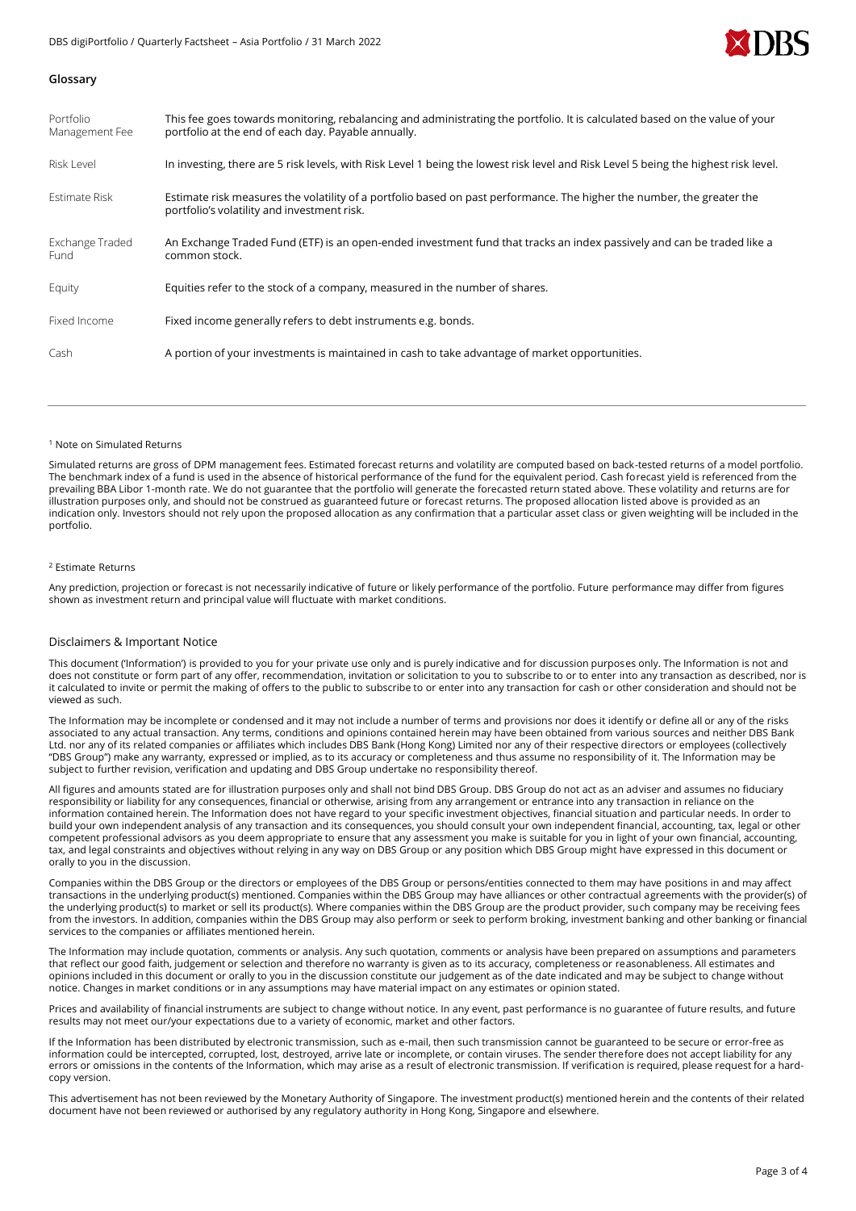

### **Glossary**

| Portfolio<br>Management Fee    | This fee goes towards monitoring, rebalancing and administrating the portfolio. It is calculated based on the value of your<br>portfolio at the end of each day. Payable annually. |
|--------------------------------|------------------------------------------------------------------------------------------------------------------------------------------------------------------------------------|
| Risk Level                     | In investing, there are 5 risk levels, with Risk Level 1 being the lowest risk level and Risk Level 5 being the highest risk level.                                                |
| Estimate Risk                  | Estimate risk measures the volatility of a portfolio based on past performance. The higher the number, the greater the<br>portfolio's volatility and investment risk.              |
| Exchange Traded<br><b>Fund</b> | An Exchange Traded Fund (ETF) is an open-ended investment fund that tracks an index passively and can be traded like a<br>common stock.                                            |
| Equity                         | Equities refer to the stock of a company, measured in the number of shares.                                                                                                        |
| Fixed Income                   | Fixed income generally refers to debt instruments e.g. bonds.                                                                                                                      |
| Cash                           | A portion of your investments is maintained in cash to take advantage of market opportunities.                                                                                     |

#### <sup>1</sup> Note on Simulated Returns

Simulated returns are gross of DPM management fees. Estimated forecast returns and volatility are computed based on back-tested returns of a model portfolio. The benchmark index of a fund is used in the absence of historical performance of the fund for the equivalent period. Cash forecast yield is referenced from the prevailing BBA Libor 1-month rate. We do not guarantee that the portfolio will generate the forecasted return stated above. These volatility and returns are for illustration purposes only, and should not be construed as guaranteed future or forecast returns. The proposed allocation listed above is provided as an indication only. Investors should not rely upon the proposed allocation as any confirmation that a particular asset class or given weighting will be included in the portfolio.

#### <sup>2</sup> Estimate Returns

Any prediction, projection or forecast is not necessarily indicative of future or likely performance of the portfolio. Future performance may differ from figures shown as investment return and principal value will fluctuate with market conditions.

#### Disclaimers & Important Notice

This document ('Information') is provided to you for your private use only and is purely indicative and for discussion purposes only. The Information is not and does not constitute or form part of any offer, recommendation, invitation or solicitation to you to subscribe to or to enter into any transaction as described, nor is it calculated to invite or permit the making of offers to the public to subscribe to or enter into any transaction for cash or other consideration and should not be viewed as such.

The Information may be incomplete or condensed and it may not include a number of terms and provisions nor does it identify or define all or any of the risks associated to any actual transaction. Any terms, conditions and opinions contained herein may have been obtained from various sources and neither DBS Bank Ltd. nor any of its related companies or affiliates which includes DBS Bank (Hong Kong) Limited nor any of their respective directors or employees (collectively "DBS Group") make any warranty, expressed or implied, as to its accuracy or completeness and thus assume no responsibility of it. The Information may be subject to further revision, verification and updating and DBS Group undertake no responsibility thereof.

All figures and amounts stated are for illustration purposes only and shall not bind DBS Group. DBS Group do not act as an adviser and assumes no fiduciary responsibility or liability for any consequences, financial or otherwise, arising from any arrangement or entrance into any transaction in reliance on the information contained herein. The Information does not have regard to your specific investment objectives, financial situation and particular needs. In order to build your own independent analysis of any transaction and its consequences, you should consult your own independent financial, accounting, tax, legal or other competent professional advisors as you deem appropriate to ensure that any assessment you make is suitable for you in light of your own financial, accounting, tax, and legal constraints and objectives without relying in any way on DBS Group or any position which DBS Group might have expressed in this document or orally to you in the discussion.

Companies within the DBS Group or the directors or employees of the DBS Group or persons/entities connected to them may have positions in and may affect transactions in the underlying product(s) mentioned. Companies within the DBS Group may have alliances or other contractual agreements with the provider(s) of the underlying product(s) to market or sell its product(s). Where companies within the DBS Group are the product provider, such company may be receiving fees from the investors. In addition, companies within the DBS Group may also perform or seek to perform broking, investment banking and other banking or financial services to the companies or affiliates mentioned herein.

The Information may include quotation, comments or analysis. Any such quotation, comments or analysis have been prepared on assumptions and parameters that reflect our good faith, judgement or selection and therefore no warranty is given as to its accuracy, completeness or reasonableness. All estimates and opinions included in this document or orally to you in the discussion constitute our judgement as of the date indicated and may be subject to change without notice. Changes in market conditions or in any assumptions may have material impact on any estimates or opinion stated.

Prices and availability of financial instruments are subject to change without notice. In any event, past performance is no guarantee of future results, and future results may not meet our/your expectations due to a variety of economic, market and other factors.

If the Information has been distributed by electronic transmission, such as e-mail, then such transmission cannot be guaranteed to be secure or error-free as information could be intercepted, corrupted, lost, destroyed, arrive late or incomplete, or contain viruses. The sender therefore does not accept liability for any errors or omissions in the contents of the Information, which may arise as a result of electronic transmission. If verification is required, please request for a hardcopy version.

This advertisement has not been reviewed by the Monetary Authority of Singapore. The investment product(s) mentioned herein and the contents of their related document have not been reviewed or authorised by any regulatory authority in Hong Kong, Singapore and elsewhere.